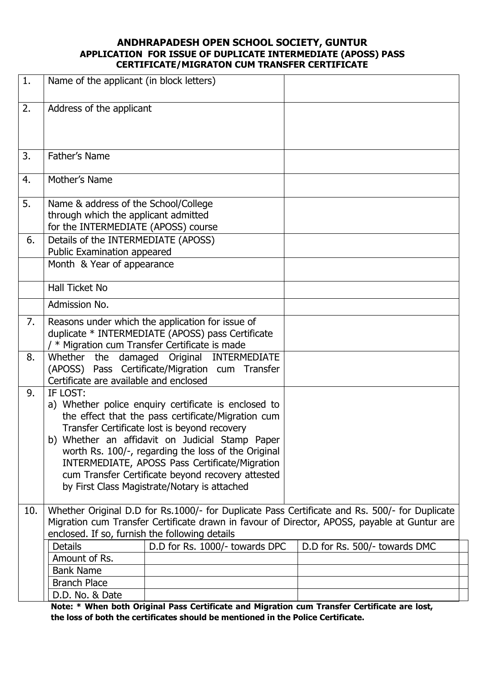#### **ANDHRAPADESH OPEN SCHOOL SOCIETY, GUNTUR APPLICATION FOR ISSUE OF DUPLICATE INTERMEDIATE (APOSS) PASS CERTIFICATE/MIGRATON CUM TRANSFER CERTIFICATE**

| 1.  | Name of the applicant (in block letters)                                                                                                                                                                                                                                                                                                                                                                                                |                                |  |                               |  |  |  |
|-----|-----------------------------------------------------------------------------------------------------------------------------------------------------------------------------------------------------------------------------------------------------------------------------------------------------------------------------------------------------------------------------------------------------------------------------------------|--------------------------------|--|-------------------------------|--|--|--|
| 2.  | Address of the applicant                                                                                                                                                                                                                                                                                                                                                                                                                |                                |  |                               |  |  |  |
| 3.  | Father's Name                                                                                                                                                                                                                                                                                                                                                                                                                           |                                |  |                               |  |  |  |
| 4.  | Mother's Name                                                                                                                                                                                                                                                                                                                                                                                                                           |                                |  |                               |  |  |  |
| 5.  | Name & address of the School/College<br>through which the applicant admitted<br>for the INTERMEDIATE (APOSS) course                                                                                                                                                                                                                                                                                                                     |                                |  |                               |  |  |  |
| 6.  | Details of the INTERMEDIATE (APOSS)<br>Public Examination appeared<br>Month & Year of appearance                                                                                                                                                                                                                                                                                                                                        |                                |  |                               |  |  |  |
|     | <b>Hall Ticket No</b>                                                                                                                                                                                                                                                                                                                                                                                                                   |                                |  |                               |  |  |  |
|     | Admission No.                                                                                                                                                                                                                                                                                                                                                                                                                           |                                |  |                               |  |  |  |
| 7.  | Reasons under which the application for issue of<br>duplicate * INTERMEDIATE (APOSS) pass Certificate<br>* Migration cum Transfer Certificate is made                                                                                                                                                                                                                                                                                   |                                |  |                               |  |  |  |
| 8.  | damaged Original INTERMEDIATE<br>Whether the<br>(APOSS) Pass Certificate/Migration cum Transfer<br>Certificate are available and enclosed                                                                                                                                                                                                                                                                                               |                                |  |                               |  |  |  |
| 9.  | IF LOST:<br>a) Whether police enquiry certificate is enclosed to<br>the effect that the pass certificate/Migration cum<br>Transfer Certificate lost is beyond recovery<br>b) Whether an affidavit on Judicial Stamp Paper<br>worth Rs. 100/-, regarding the loss of the Original<br>INTERMEDIATE, APOSS Pass Certificate/Migration<br>cum Transfer Certificate beyond recovery attested<br>by First Class Magistrate/Notary is attached |                                |  |                               |  |  |  |
| 10. | Whether Original D.D for Rs.1000/- for Duplicate Pass Certificate and Rs. 500/- for Duplicate<br>Migration cum Transfer Certificate drawn in favour of Director, APOSS, payable at Guntur are<br>enclosed. If so, furnish the following details                                                                                                                                                                                         |                                |  |                               |  |  |  |
|     | <b>Details</b><br>Amount of Rs.<br><b>Bank Name</b><br><b>Branch Place</b><br>D.D. No. & Date                                                                                                                                                                                                                                                                                                                                           | D.D for Rs. 1000/- towards DPC |  | D.D for Rs. 500/- towards DMC |  |  |  |

**Note: \* When both Original Pass Certificate and Migration cum Transfer Certificate are lost, the loss of both the certificates should be mentioned in the Police Certificate.**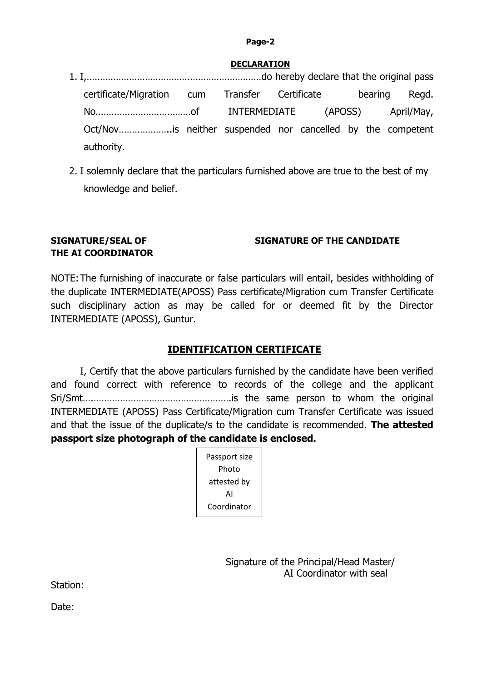#### **Page-2**

#### **DECLARATION**

| certificate/Migration cum Transfer Certificate bearing Regd. |  |  |  |  |
|--------------------------------------------------------------|--|--|--|--|
|                                                              |  |  |  |  |
| Oct/Novis neither suspended nor cancelled by the competent   |  |  |  |  |
| authority.                                                   |  |  |  |  |

2. I solemnly declare that the particulars furnished above are true to the best of my knowledge and belief.

# **SIGNATURE/SEAL OF SIGNATURE OF THE CANDIDATE THE AI COORDINATOR**

NOTE:The furnishing of inaccurate or false particulars will entail, besides withholding of the duplicate INTERMEDIATE(APOSS) Pass certificate/Migration cum Transfer Certificate such disciplinary action as may be called for or deemed fit by the Director INTERMEDIATE (APOSS), Guntur.

## **IDENTIFICATION CERTIFICATE**

I, Certify that the above particulars furnished by the candidate have been verified and found correct with reference to records of the college and the applicant Sri/Smt….…………………………………………….is the same person to whom the original INTERMEDIATE (APOSS) Pass Certificate/Migration cum Transfer Certificate was issued and that the issue of the duplicate/s to the candidate is recommended. **The attested passport size photograph of the candidate is enclosed.**

| Passport size |  |  |
|---------------|--|--|
| Photo         |  |  |
| attested by   |  |  |
| ΑI            |  |  |
| Coordinator   |  |  |

Signature of the Principal/Head Master/ AI Coordinator with seal

Station:

Date: